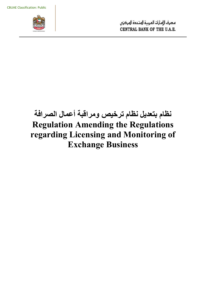

# **نظام بتعديل نظام ترخيص ومراقبة أعمال الصرافة Regulation Amending the Regulations regarding Licensing and Monitoring of Exchange Business**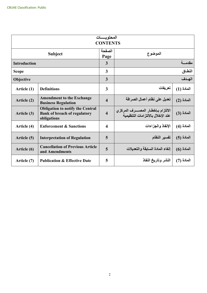| المحتو يـــــات<br><b>CONTENTS</b> |                                                                                               |                         |                                                                          |               |  |  |
|------------------------------------|-----------------------------------------------------------------------------------------------|-------------------------|--------------------------------------------------------------------------|---------------|--|--|
| <b>Subject</b>                     |                                                                                               | الصفحة<br>Page          | الموضوع                                                                  |               |  |  |
| <b>Introduction</b>                |                                                                                               | $\overline{3}$          | مقدمسة                                                                   |               |  |  |
| <b>Scope</b>                       |                                                                                               | $\overline{3}$          | النطاق                                                                   |               |  |  |
| Objective                          |                                                                                               | $\overline{3}$          | الهدف                                                                    |               |  |  |
| Article (1)                        | <b>Definitions</b>                                                                            | $\mathbf{3}$            | تعريفات                                                                  | المادة (1)    |  |  |
| Article (2)                        | <b>Amendment to the Exchange</b><br><b>Business Regulation</b>                                | $\overline{\mathbf{4}}$ | تعديل على نظام أعمال الصرافة                                             | المادة (2)    |  |  |
| Article (3)                        | <b>Obligation to notify the Central</b><br><b>Bank of breach of regulatory</b><br>obligations | $\overline{\mathbf{4}}$ | الالتزام بإخطار المصــــرف المركزي<br>عند الإخلال بالالتز امات التنظيمية | الْعَادَة (3) |  |  |
| Article (4)                        | <b>Enforcement &amp; Sanctions</b>                                                            | $\overline{\mathbf{4}}$ | الإنفاذ والجزاءات                                                        | المادة (4)    |  |  |
| Article (5)                        | <b>Interpretation of Regulation</b>                                                           | 5                       | تفسير النظام                                                             | المادة (5)    |  |  |
| Article (6)                        | <b>Cancellation of Previous Article</b><br>and Amendments                                     | 5                       | إلغاء المادة السابقة والتعديلات                                          | $(6)$ المادة  |  |  |
| Article (7)                        | <b>Publication &amp; Effective Date</b>                                                       | 5                       | النشر وتاريخ النفاذ                                                      | المادة (7)    |  |  |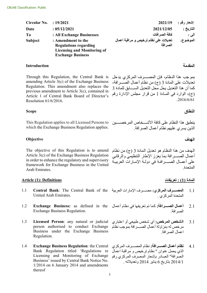| Circular No.   | : 19/2021                                                                                                            | 2021/19                                           | إشعار رقم : |
|----------------|----------------------------------------------------------------------------------------------------------------------|---------------------------------------------------|-------------|
| Date           | : 05/12/2021                                                                                                         | 2021/12/05                                        | لتاريخ :    |
| T <sub>0</sub> | : All Exchange Businesses                                                                                            | كافة الصر افات                                    | لى :        |
| <b>Subject</b> | : Amendment to the<br><b>Regulations regarding</b><br><b>Licensing and Monitoring of</b><br><b>Exchange Business</b> | تعديلات على نظام ترخيص و مراقبة أعمال<br>الصر افة | لموضوع:     |

## **المقدمة Introduction**

Through this Regulation, the Central Bank is amending Article 3(c) of the Exchange Business Regulation. This amendment also replaces the previous amendment to Article 3(c), contained in Article 1 of Central Bank Board of Director's Resolution 61/6/2016.

## **النطاق Scope**

This Regulation applies to all Licensed Persons to which the Exchange Business Regulation applies.

## **الهدف Objective**

The objective of this Regulation is to amend Article 3(c) of the Exchange Business Regulation in order to enhance the regulatory and supervisory framework for Exchange Business in the United Arab Emirates.

#### **المادة (1) : تعريفات Definitions :)1 (Article**

- United Arab Emirates. 1.1
- **Exchange Business:** as defined in the Exchange Business Regulation. 1.2
- **Licensed Person**: any natural or judicial person authorised to conduct Exchange Business under the Exchange Business Regulation. 1.3
- **Exchange Business Regulation**: the Central Bank Regulation titled 'Regulations re Licensing and Monitoring of Exchange Business' issued by Central Bank Notice No. 1/2014 on 6 January 2014 and amendments thereof 1.4

بمو جب هذا النظام، فإن المصــــــرف المركزي يدخل تعديلات على المادة 3 (ج) من نظام أعمال الصـــر افة، كما أن هذا التعديل يحل محل التعديل الســــابق للمادة 3 (ج)، الوارد في المѧادة 1 من قرار مجلس الإدارة رقم .2016/6/61

ينطبق هذا النظام على كافة الأشـــخاص المرخصــــين الذين يسري عليهم نظام أعمال الصرافة.

الهدف من هذا النظام هو تعديل المادة 3 (ج) من نظام أعمال الصسـرافة بما يعزز الإطار التنظيمي والرقابي على أعمـال الصــــر افـة في دولـة الإمـار ات العربيــة المتحدة.

- 1.1 **المصــــــرف المركزي:** مصــــــرف الإمارات العربية Central Bank: The Central Bank of the المتحدة المركزي .
	- 2.1 **أعمال الصѧѧѧѧѧѧرافة:** كما تم تعريفها في نظام أعمال الصرافة.
	- 3.1 **الشخص المرخص:** أي شخص طبيعي أو اعتباري مر خص له بمز اولة أعمال الصسر افة بموجب نظام اعمال الصرافة.
	- 4.1 **نظام أعمال الصير افة:** نظام المصيير ف المركزي الذي يحمل عنوان " نظام ترخيص و مراقبة اعمال الصرافة" الصادر بإشعار المصرف المركزي رقم 2014/1 بتاريخ 6 يناير 2014 وتعديلاته .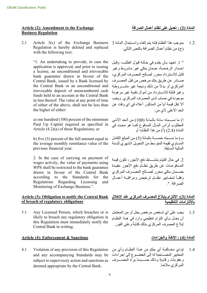### **المادة (2) : تعديل على نظام أعمال الصرافة Exchange the to Amendment :)2 (Article Business Regulation**

Article 3(c) of the Exchange Business Regulation is hereby deleted and replaced with the following text: 2.1

> "1. An undertaking to provide, in case the application is approved, and prior to issuing a license, an unconditional and irrevocable bank guarantee drawn in favour of the Central Bank, issued by a Bank licensed by the Central Bank or an unconditional and irrevocable deposit of unencumbered cash funds held in an account at the Central Bank in lieu thereof. The value at any point of time of either of the above, shall not be less than the higher of either:

a) one hundred (100) percent of the minimum Paid Up Capital required as specified in Article (4.2)(a) of these Regulations; or

b) five (5) percent of the full amount equal to the average monthly remittance value of the previous financial year.

2. In the case of carrying on payment of wages activity, the value of payments using WPS shall be restricted to the bank guarantee drawn in favour of the Central Bank according to the Standards for the Regulations Regarding Licensing and Monitoring of Exchange Business.".

### **Article (3): Obligation to notify the Central Bank of breach of regulatory obligations**

Any Licensed Person, which breaches or is likely to breach any regulatory obligation in this Regulation must immediately notify the Central Bank in writing. 3.1

### **المادة (4) : الإنفاذ والجزاءات Sanctions & Enforcement :)4 (Article**

and any accompanying Standards may be subject to supervisory action and sanctions as deemed appropriate by the Central Bank. 4.1

1.2 بموجب هذا النظام فإنه يتم إلغاء واستبدال المادة 3 (ج) من نظام أعمال الصرافة بالنص التالي:

" 1. تعهد بأن يقدم في حالـة قبول الطلب، وقبل إ صدار الرخ صة، ضمان بنكي غير م شروط وغير قابل للاستر داد محر ر لصبالح المصبر ف المركزي، صسادر عن طريق بنك مرخص من قبل المصدر ف المركزي أو بدلاً من ذلك وديعـة غير مشـــــروطـة وغير قابلة للاسترداد من أموال نقدية غير مرهونة موجودة في حساب لدى المصرف المركزي. ويجب ألا تقل قيمة أياًمن المذكور أعلاه في أي وقت عن الحد الأعلى لأي من:

ا) ما نســـبته مائة بالمائة (100) من الحد الأدنى المطلوب لرأس المـال المـدفوع كمـا هو محـدد في المادة (2.4) (أ) من هذا النظام؛ أو

ب) ما نسـبته خمســة بالمائة (5) من المبلغ الكامل المساوي لقيمة المتوسط من التحويل الشهري للسنة المالية السابقة.

2. في حال القيام بنشســاط دفع الأجور ، تكون قيمة الممدفوعات عن طريق نظام دفع الأجور مقيدة بضهان بنكي محرر لصسالح المصبر ف المركزي وفقياً لمعيابير نظهم ترخيص ومراقبية أعميال الصرافة. ".

### **المادة (3): الالتزام بإبلاغ المصѧѧرف المركزي عند الإخلال بالالتزامات التنظيمية**

1.3 يجب على أي شخص مرخص يخل أو من المحتمل أن يخـل بـأي التزام تنظيمي وارد في هـذا النظـام إبلاغ المصر ف المركزي بذلك كتابةً و على الفور .

1.4 تؤدي مخــالفــة أي حكم من هــذا النظــام وأي من Violation of any provision of this Regulation المعايير المصـــاحبة له إلى الخضــوع إلى إجراءات وعقوبات ر قابية وذلك حســـبما يراه المصــــرف المركزي ملائما.